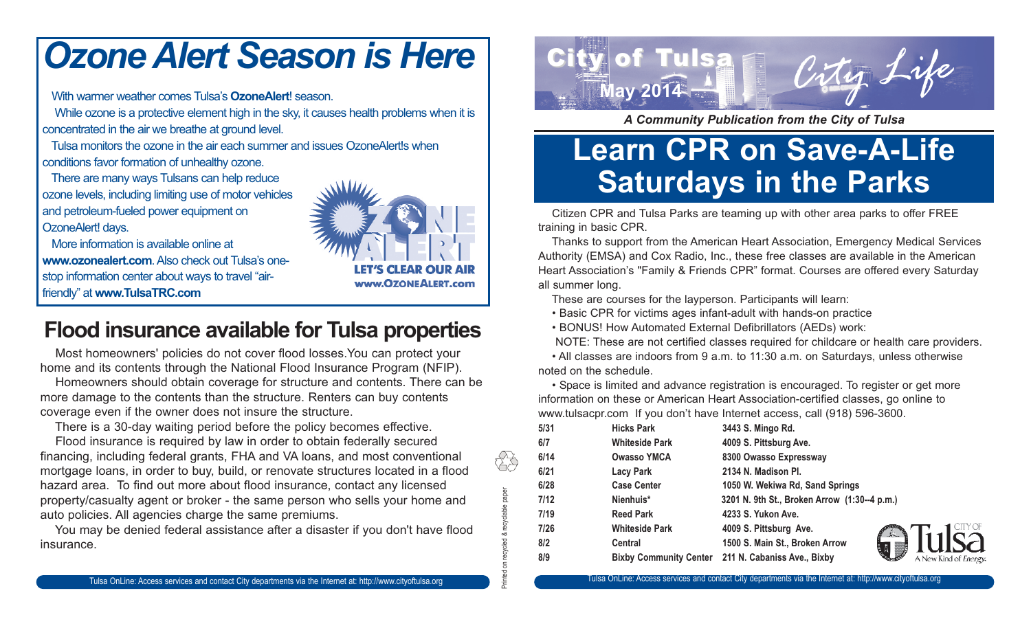## *Ozone Alert Season is Here*

With warmer weather comes Tulsa's **OzoneAlert**! season.

While ozone is a protective element high in the sky, it causes health problems when it is concentrated in the air we breathe at ground level.

Tulsa monitors the ozone in the air each summer and issues OzoneAlert!s when conditions favor formation of unhealthy ozone.

There are many ways Tulsans can help reduce ozone levels, including limiting use of motor vehicles and petroleum-fueled power equipment on OzoneAlert! days.

More information is available online at **www.ozonealert.com**. Also check out Tulsa's onestop information center about ways to travel "airfriendly" at **www.TulsaTRC.com**



Printed on recycled & recyclable paper

tŠ

**Flood insurance available for Tulsa properties** 

Most homeowners' policies do not cover flood losses.You can protect your home and its contents through the National Flood Insurance Program (NFIP).

Homeowners should obtain coverage for structure and contents. There can be more damage to the contents than the structure. Renters can buy contents coverage even if the owner does not insure the structure.

There is a 30-day waiting period before the policy becomes effective.

Flood insurance is required by law in order to obtain federally secured financing, including federal grants, FHA and VA loans, and most conventional mortgage loans, in order to buy, build, or renovate structures located in a flood hazard area. To find out more about flood insurance, contact any licensed property/casualty agent or broker - the same person who sells your home and auto policies. All agencies charge the same premiums.

You may be denied federal assistance after a disaster if you don't have flood insurance.



*A Community Publication from the City of Tulsa*

## **Learn CPR on Save-A-Life Saturdays in the Parks**

Citizen CPR and Tulsa Parks are teaming up with other area parks to offer FREE training in basic CPR.

Thanks to support from the American Heart Association, Emergency Medical Services Authority (EMSA) and Cox Radio, Inc., these free classes are available in the American Heart Association's "Family & Friends CPR" format. Courses are offered every Saturday all summer long.

These are courses for the layperson. Participants will learn:

• Basic CPR for victims ages infant-adult with hands-on practice

• BONUS! How Automated External Defibrillators (AEDs) work:

NOTE: These are not certified classes required for childcare or health care providers.

• All classes are indoors from 9 a.m. to 11:30 a.m. on Saturdays, unless otherwise noted on the schedule.

• Space is limited and advance registration is encouraged. To register or get more information on these or American Heart Association-certified classes, go online to www.tulsacpr.com If you don't have Internet access, call (918) 596-3600.

| 5/31 | <b>Hicks Park</b>     | 3443 S. Mingo Rd.                                  |     |
|------|-----------------------|----------------------------------------------------|-----|
| 6/7  | <b>Whiteside Park</b> | 4009 S. Pittsburg Ave.                             |     |
| 6/14 | <b>Owasso YMCA</b>    | 8300 Owasso Expressway                             |     |
| 6/21 | Lacy Park             | 2134 N. Madison Pl.                                |     |
| 6/28 | <b>Case Center</b>    | 1050 W. Wekiwa Rd, Sand Springs                    |     |
| 7/12 | Nienhuis*             | 3201 N. 9th St., Broken Arrow (1:30--4 p.m.)       |     |
| 7/19 | <b>Reed Park</b>      | 4233 S. Yukon Ave.                                 |     |
| 7/26 | <b>Whiteside Park</b> | 4009 S. Pittsburg Ave.                             | .A. |
| 8/2  | <b>Central</b>        | 1500 S. Main St., Broken Arrow                     |     |
| 8/9  |                       | Bixby Community Center 211 N. Cabaniss Ave., Bixby |     |